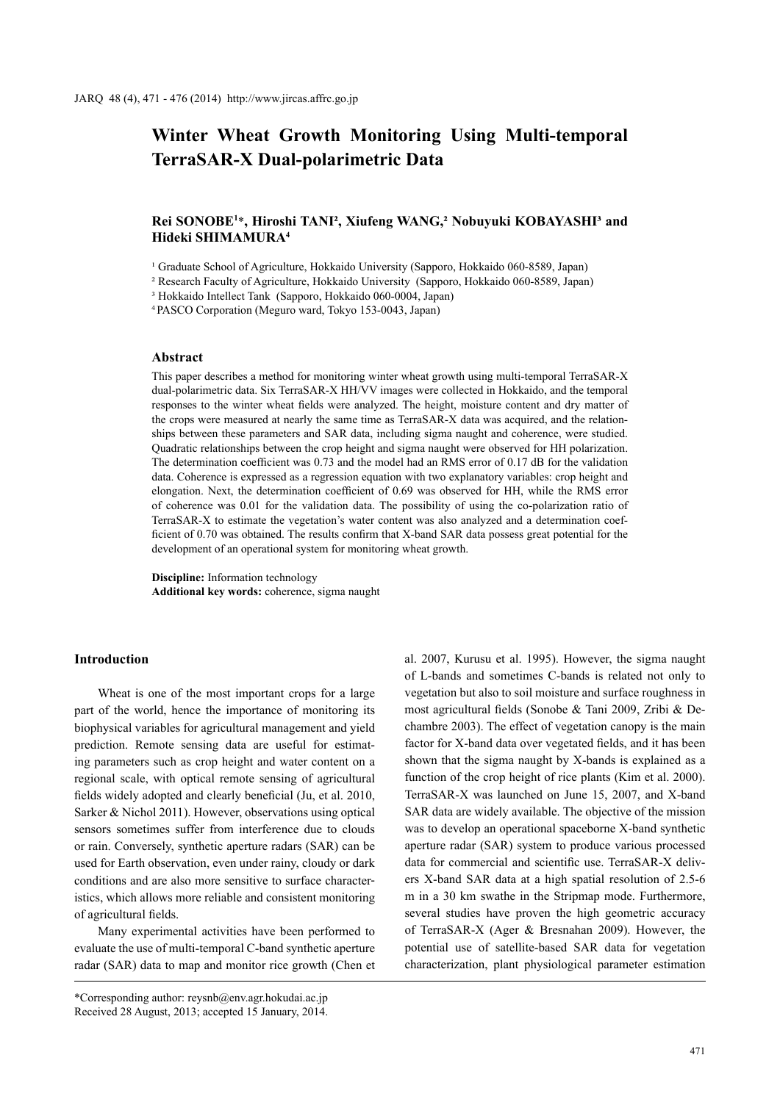# **Winter Wheat Growth Monitoring Using Multi-temporal TerraSAR-X Dual-polarimetric Data**

# Rei SONOBE<sup>1\*</sup>, Hiroshi TANI<sup>2</sup>, Xiufeng WANG,<sup>2</sup> Nobuyuki KOBAYASHI<sup>3</sup> and **Hideki SHIMAMURA4**

<sup>1</sup> Graduate School of Agriculture, Hokkaido University (Sapporo, Hokkaido 060-8589, Japan)

² Research Faculty of Agriculture, Hokkaido University (Sapporo, Hokkaido 060-8589, Japan)

³ Hokkaido Intellect Tank (Sapporo, Hokkaido 060-0004, Japan)

<sup>4</sup>PASCO Corporation (Meguro ward, Tokyo 153-0043, Japan)

#### **Abstract**

This paper describes a method for monitoring winter wheat growth using multi-temporal TerraSAR-X dual-polarimetric data. Six TerraSAR-X HH/VV images were collected in Hokkaido, and the temporal responses to the winter wheat fields were analyzed. The height, moisture content and dry matter of the crops were measured at nearly the same time as TerraSAR-X data was acquired, and the relationships between these parameters and SAR data, including sigma naught and coherence, were studied. Quadratic relationships between the crop height and sigma naught were observed for HH polarization. The determination coefficient was 0.73 and the model had an RMS error of 0.17 dB for the validation data. Coherence is expressed as a regression equation with two explanatory variables: crop height and elongation. Next, the determination coefficient of 0.69 was observed for HH, while the RMS error of coherence was 0.01 for the validation data. The possibility of using the co-polarization ratio of TerraSAR-X to estimate the vegetation's water content was also analyzed and a determination coefficient of 0.70 was obtained. The results confirm that X-band SAR data possess great potential for the development of an operational system for monitoring wheat growth.

**Discipline:** Information technology **Additional key words:** coherence, sigma naught

## **Introduction**

Wheat is one of the most important crops for a large part of the world, hence the importance of monitoring its biophysical variables for agricultural management and yield prediction. Remote sensing data are useful for estimating parameters such as crop height and water content on a regional scale, with optical remote sensing of agricultural fields widely adopted and clearly beneficial (Ju, et al. 2010, Sarker & Nichol 2011). However, observations using optical sensors sometimes suffer from interference due to clouds or rain. Conversely, synthetic aperture radars (SAR) can be used for Earth observation, even under rainy, cloudy or dark conditions and are also more sensitive to surface characteristics, which allows more reliable and consistent monitoring of agricultural fields.

Many experimental activities have been performed to evaluate the use of multi-temporal C-band synthetic aperture radar (SAR) data to map and monitor rice growth (Chen et

\*Corresponding author: reysnb@env.agr.hokudai.ac.jp Received 28 August, 2013; accepted 15 January, 2014. al. 2007, Kurusu et al. 1995). However, the sigma naught of L-bands and sometimes C-bands is related not only to vegetation but also to soil moisture and surface roughness in most agricultural fields (Sonobe & Tani 2009, Zribi & Dechambre 2003). The effect of vegetation canopy is the main factor for X-band data over vegetated fields, and it has been shown that the sigma naught by X-bands is explained as a function of the crop height of rice plants (Kim et al. 2000). TerraSAR-X was launched on June 15, 2007, and X-band SAR data are widely available. The objective of the mission was to develop an operational spaceborne X-band synthetic aperture radar (SAR) system to produce various processed data for commercial and scientific use. TerraSAR-X delivers X-band SAR data at a high spatial resolution of 2.5-6 m in a 30 km swathe in the Stripmap mode. Furthermore, several studies have proven the high geometric accuracy of TerraSAR-X (Ager & Bresnahan 2009). However, the potential use of satellite-based SAR data for vegetation characterization, plant physiological parameter estimation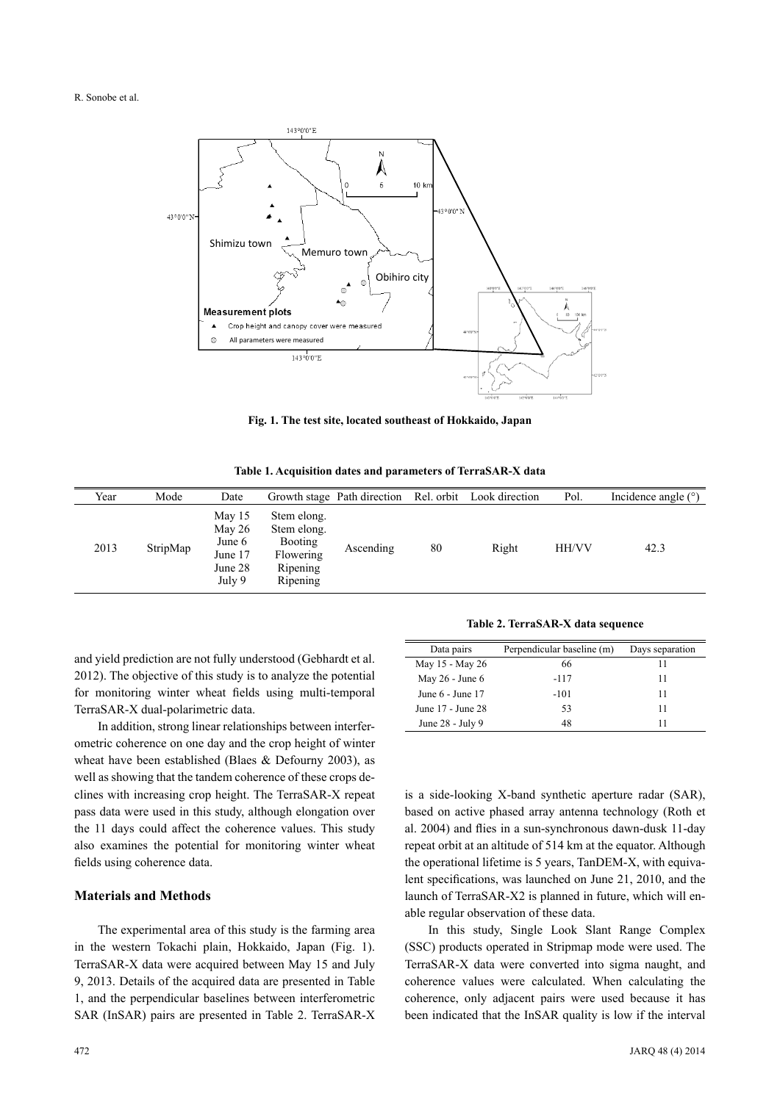

**Fig. 1. The test site, located southeast of Hokkaido, Japan**

**Table 1. Acquisition dates and parameters of TerraSAR-X data**

| Year | Mode     | Date                                                         |                                                                                   | Growth stage Path direction |    | Rel. orbit Look direction | Pol.         | Incidence angle $(°)$ |
|------|----------|--------------------------------------------------------------|-----------------------------------------------------------------------------------|-----------------------------|----|---------------------------|--------------|-----------------------|
| 2013 | StripMap | May 15<br>May $26$<br>June 6<br>June 17<br>June 28<br>July 9 | Stem elong.<br>Stem elong.<br><b>Booting</b><br>Flowering<br>Ripening<br>Ripening | Ascending                   | 80 | Right                     | <b>HH/VV</b> | 42.3                  |

and yield prediction are not fully understood (Gebhardt et al. 2012). The objective of this study is to analyze the potential for monitoring winter wheat fields using multi-temporal TerraSAR-X dual-polarimetric data.

In addition, strong linear relationships between interferometric coherence on one day and the crop height of winter wheat have been established (Blaes & Defourny 2003), as well as showing that the tandem coherence of these crops declines with increasing crop height. The TerraSAR-X repeat pass data were used in this study, although elongation over the 11 days could affect the coherence values. This study also examines the potential for monitoring winter wheat fields using coherence data.

## **Materials and Methods**

The experimental area of this study is the farming area in the western Tokachi plain, Hokkaido, Japan (Fig. 1). TerraSAR-X data were acquired between May 15 and July 9, 2013. Details of the acquired data are presented in Table 1, and the perpendicular baselines between interferometric SAR (InSAR) pairs are presented in Table 2. TerraSAR-X

**Table 2. TerraSAR-X data sequence**

|        | Days separation            |  |  |
|--------|----------------------------|--|--|
| 66     | 11                         |  |  |
| $-117$ | 11                         |  |  |
| $-101$ | 11                         |  |  |
| 53     | 11                         |  |  |
| 48     | 11                         |  |  |
|        | Perpendicular baseline (m) |  |  |

is a side-looking X-band synthetic aperture radar (SAR), based on active phased array antenna technology (Roth et al. 2004) and flies in a sun-synchronous dawn-dusk 11-day repeat orbit at an altitude of 514 km at the equator. Although the operational lifetime is 5 years, TanDEM-X, with equivalent specifications, was launched on June 21, 2010, and the launch of TerraSAR-X2 is planned in future, which will enable regular observation of these data.

In this study, Single Look Slant Range Complex (SSC) products operated in Stripmap mode were used. The TerraSAR-X data were converted into sigma naught, and coherence values were calculated. When calculating the coherence, only adjacent pairs were used because it has been indicated that the InSAR quality is low if the interval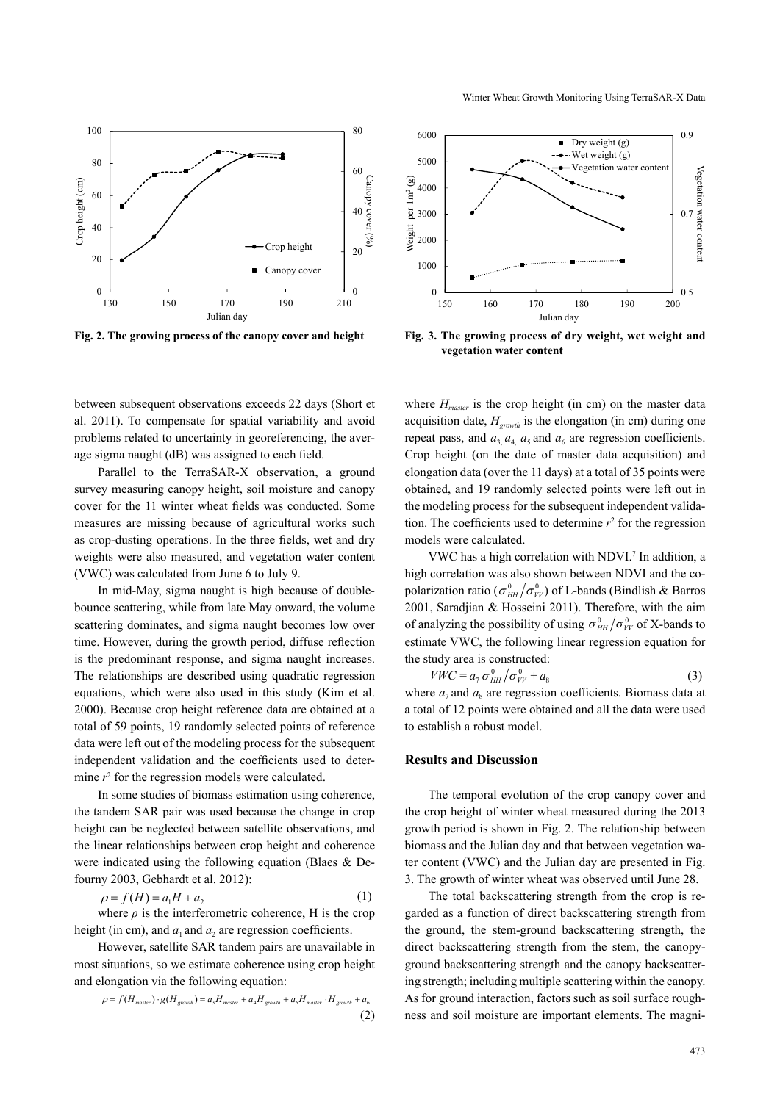

between subsequent observations exceeds 22 days (Short et al. 2011). To compensate for spatial variability and avoid problems related to uncertainty in georeferencing, the average sigma naught (dB) was assigned to each field.

Parallel to the TerraSAR-X observation, a ground survey measuring canopy height, soil moisture and canopy cover for the 11 winter wheat fields was conducted. Some measures are missing because of agricultural works such as crop-dusting operations. In the three fields, wet and dry weights were also measured, and vegetation water content (VWC) was calculated from June 6 to July 9.

In mid-May, sigma naught is high because of doublebounce scattering, while from late May onward, the volume scattering dominates, and sigma naught becomes low over time. However, during the growth period, diffuse reflection is the predominant response, and sigma naught increases. The relationships are described using quadratic regression equations, which were also used in this study (Kim et al. 2000). Because crop height reference data are obtained at a total of 59 points, 19 randomly selected points of reference data were left out of the modeling process for the subsequent independent validation and the coefficients used to determine  $r<sup>2</sup>$  for the regression models were calculated.

In some studies of biomass estimation using coherence, the tandem SAR pair was used because the change in crop height can be neglected between satellite observations, and the linear relationships between crop height and coherence were indicated using the following equation (Blaes & Defourny 2003, Gebhardt et al. 2012):

$$
\rho = f(H) = a_1 H + a_2 \tag{1}
$$

where  $\rho$  is the interferometric coherence, H is the crop height (in cm), and  $a_1$  and  $a_2$  are regression coefficients.

However, satellite SAR tandem pairs are unavailable in most situations, so we estimate coherence using crop height and elongation via the following equation:

$$
\rho = f(H_{\text{master}}) \cdot g(H_{\text{growth}}) = a_3 H_{\text{master}} + a_4 H_{\text{growth}} + a_5 H_{\text{master}} \cdot H_{\text{growth}} + a_6
$$
\n<sup>(2)</sup>



**Fig. 2. The growing process of the canopy cover and height Fig. 3. The growing process of dry weight, wet weight and vegetation water content**

where  $H_{master}$  is the crop height (in cm) on the master data acquisition date,  $H_{growth}$  is the elongation (in cm) during one repeat pass, and  $a_3$ ,  $a_4$ ,  $a_5$  and  $a_6$  are regression coefficients. Crop height (on the date of master data acquisition) and elongation data (over the 11 days) at a total of 35 points were obtained, and 19 randomly selected points were left out in the modeling process for the subsequent independent validation. The coefficients used to determine  $r^2$  for the regression models were calculated.

VWC has a high correlation with NDVI.<sup>7</sup> In addition, a high correlation was also shown between NDVI and the copolarization ratio ( $\sigma_{HH}^0/\sigma_{VV}^0$ ) of L-bands (Bindlish & Barros 2001, Saradjian & Hosseini 2011). Therefore, with the aim of analyzing the possibility of using  $\sigma_{HH}^0/\sigma_{VV}^0$  of X-bands to estimate VWC, the following linear regression equation for the study area is constructed:

$$
VWC = a_{7} \sigma_{HH}^{0} / \sigma_{VV}^{0} + a_{8}
$$
 (3)

where  $a_7$  and  $a_8$  are regression coefficients. Biomass data at a total of 12 points were obtained and all the data were used to establish a robust model.

#### **Results and Discussion**

The temporal evolution of the crop canopy cover and the crop height of winter wheat measured during the 2013 growth period is shown in Fig. 2. The relationship between biomass and the Julian day and that between vegetation water content (VWC) and the Julian day are presented in Fig. 3. The growth of winter wheat was observed until June 28.

The total backscattering strength from the crop is regarded as a function of direct backscattering strength from the ground, the stem-ground backscattering strength, the direct backscattering strength from the stem, the canopyground backscattering strength and the canopy backscattering strength; including multiple scattering within the canopy. As for ground interaction, factors such as soil surface roughness and soil moisture are important elements. The magni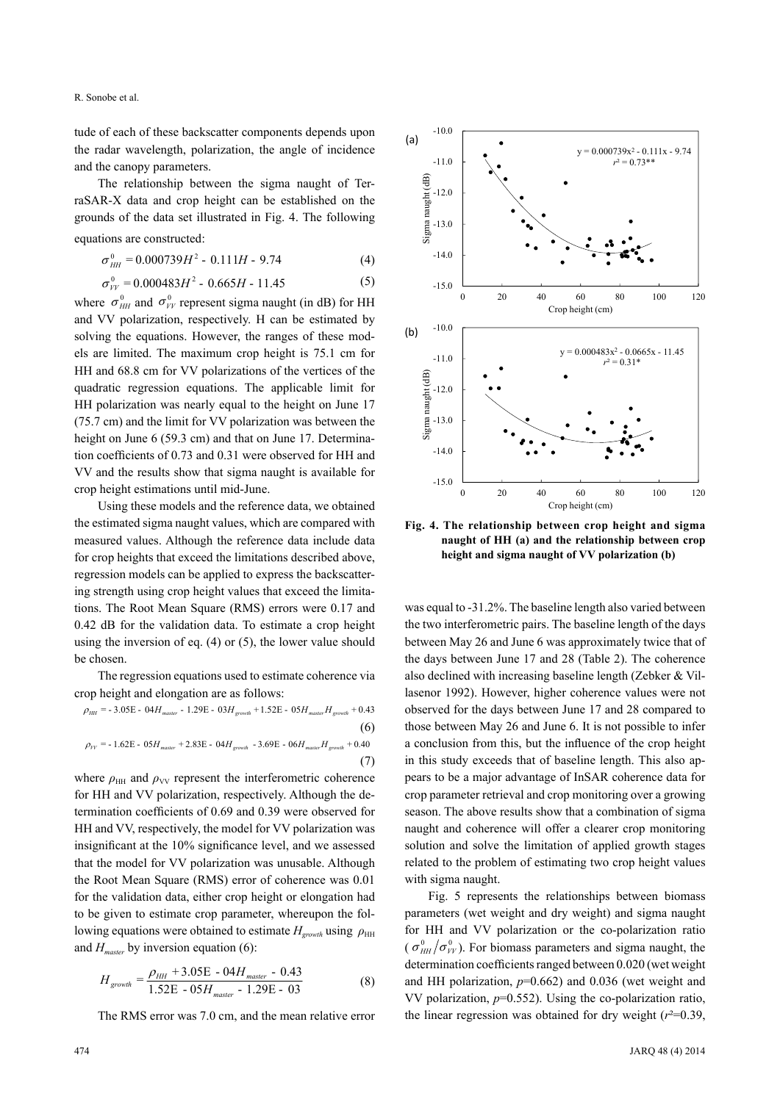R. Sonobe et al.

tude of each of these backscatter components depends upon the radar wavelength, polarization, the angle of incidence and the canopy parameters.

The relationship between the sigma naught of TerraSAR-X data and crop height can be established on the grounds of the data set illustrated in Fig. 4. The following equations are constructed:

$$
\sigma_{HH}^{0} = 0.000739H^{2} - 0.111H - 9.74
$$
 (4)

$$
\sigma_{VV}^0 = 0.000483H^2 - 0.665H - 11.45\tag{5}
$$

where  $\sigma_{HH}^0$  and  $\sigma_{VV}^0$  represent sigma naught (in dB) for HH and VV polarization, respectively. H can be estimated by solving the equations. However, the ranges of these models are limited. The maximum crop height is 75.1 cm for HH and 68.8 cm for VV polarizations of the vertices of the quadratic regression equations. The applicable limit for HH polarization was nearly equal to the height on June 17 (75.7 cm) and the limit for VV polarization was between the height on June 6 (59.3 cm) and that on June 17. Determination coefficients of 0.73 and 0.31 were observed for HH and VV and the results show that sigma naught is available for crop height estimations until mid-June.

Using these models and the reference data, we obtained the estimated sigma naught values, which are compared with measured values. Although the reference data include data for crop heights that exceed the limitations described above, regression models can be applied to express the backscattering strength using crop height values that exceed the limitations. The Root Mean Square (RMS) errors were 0.17 and 0.42 dB for the validation data. To estimate a crop height using the inversion of eq. (4) or (5), the lower value should be chosen.

The regression equations used to estimate coherence via crop height and elongation are as follows:

$$
\rho_{HH} = -3.05E - 04H_{master} - 1.29E - 03H_{growth} + 1.52E - 05H_{master}H_{growth} + 0.43
$$
\n
$$
\rho_{VV} = -1.62E - 05H_{master} + 2.83E - 04H_{growth} - 3.69E - 06H_{master}H_{growth} + 0.40
$$
\n(7)

where  $\rho_{HH}$  and  $\rho_{VV}$  represent the interferometric coherence for HH and VV polarization, respectively. Although the determination coefficients of 0.69 and 0.39 were observed for HH and VV, respectively, the model for VV polarization was insignificant at the 10% significance level, and we assessed that the model for VV polarization was unusable. Although the Root Mean Square (RMS) error of coherence was 0.01 for the validation data, either crop height or elongation had to be given to estimate crop parameter, whereupon the following equations were obtained to estimate  $H_{growth}$  using  $\rho_{HH}$ and  $H_{master}$  by inversion equation (6):

$$
H_{growth} = \frac{\rho_{HH} + 3.05E - 04H_{master} - 0.43}{1.52E - 05H_{master} - 1.29E - 03}
$$
(8)

The RMS error was 7.0 cm, and the mean relative error



**Fig. 4. The relationship between crop height and sigma naught of HH (a) and the relationship between crop height and sigma naught of VV polarization (b)**

was equal to -31.2%. The baseline length also varied between the two interferometric pairs. The baseline length of the days between May 26 and June 6 was approximately twice that of the days between June 17 and 28 (Table 2). The coherence also declined with increasing baseline length (Zebker & Villasenor 1992). However, higher coherence values were not observed for the days between June 17 and 28 compared to those between May 26 and June 6. It is not possible to infer a conclusion from this, but the influence of the crop height in this study exceeds that of baseline length. This also appears to be a major advantage of InSAR coherence data for crop parameter retrieval and crop monitoring over a growing season. The above results show that a combination of sigma naught and coherence will offer a clearer crop monitoring solution and solve the limitation of applied growth stages related to the problem of estimating two crop height values with sigma naught.

Fig. 5 represents the relationships between biomass parameters (wet weight and dry weight) and sigma naught for HH and VV polarization or the co-polarization ratio  $(\sigma_{HH}^{0}/\sigma_{VV}^{0})$ . For biomass parameters and sigma naught, the determination coefficients ranged between 0.020 (wet weight and HH polarization,  $p=0.662$ ) and 0.036 (wet weight and VV polarization, *p*=0.552). Using the co-polarization ratio, the linear regression was obtained for dry weight  $(r^2=0.39)$ ,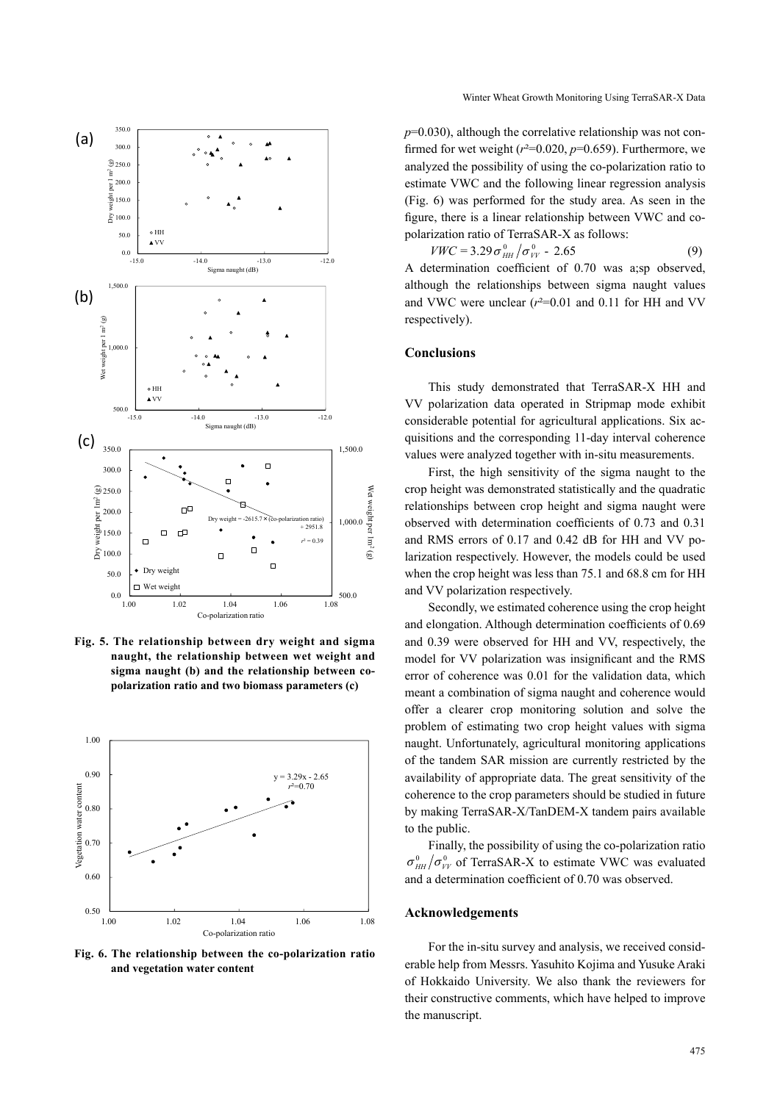

**Fig. 5. The relationship between dry weight and sigma naught, the relationship between wet weight and sigma naught (b) and the relationship between copolarization ratio and two biomass parameters (c)**



**Fig. 6. The relationship between the co-polarization ratio and vegetation water content**

 $p=0.030$ ), although the correlative relationship was not confirmed for wet weight  $(r^2=0.020, p=0.659)$ . Furthermore, we analyzed the possibility of using the co-polarization ratio to estimate VWC and the following linear regression analysis (Fig. 6) was performed for the study area. As seen in the figure, there is a linear relationship between VWC and copolarization ratio of TerraSAR-X as follows:

 $VWC = 3.29 \sigma_{HH}^{0} / \sigma_{VV}^{0}$  - 2.65 (9)

A determination coefficient of 0.70 was a;sp observed, although the relationships between sigma naught values and VWC were unclear  $(r^2=0.01$  and 0.11 for HH and VV respectively).

## **Conclusions**

This study demonstrated that TerraSAR-X HH and VV polarization data operated in Stripmap mode exhibit considerable potential for agricultural applications. Six acquisitions and the corresponding 11-day interval coherence values were analyzed together with in-situ measurements.

First, the high sensitivity of the sigma naught to the crop height was demonstrated statistically and the quadratic relationships between crop height and sigma naught were observed with determination coefficients of 0.73 and 0.31 and RMS errors of 0.17 and 0.42 dB for HH and VV polarization respectively. However, the models could be used when the crop height was less than 75.1 and 68.8 cm for HH and VV polarization respectively.

Secondly, we estimated coherence using the crop height and elongation. Although determination coefficients of 0.69 and 0.39 were observed for HH and VV, respectively, the model for VV polarization was insignificant and the RMS error of coherence was 0.01 for the validation data, which meant a combination of sigma naught and coherence would offer a clearer crop monitoring solution and solve the problem of estimating two crop height values with sigma naught. Unfortunately, agricultural monitoring applications of the tandem SAR mission are currently restricted by the availability of appropriate data. The great sensitivity of the coherence to the crop parameters should be studied in future by making TerraSAR-X/TanDEM-X tandem pairs available to the public.

Finally, the possibility of using the co-polarization ratio  $\sigma_{HH}^{0}/\sigma_{VV}^{0}$  of TerraSAR-X to estimate VWC was evaluated and a determination coefficient of 0.70 was observed.

#### **Acknowledgements**

For the in-situ survey and analysis, we received considerable help from Messrs. Yasuhito Kojima and Yusuke Araki of Hokkaido University. We also thank the reviewers for their constructive comments, which have helped to improve the manuscript.